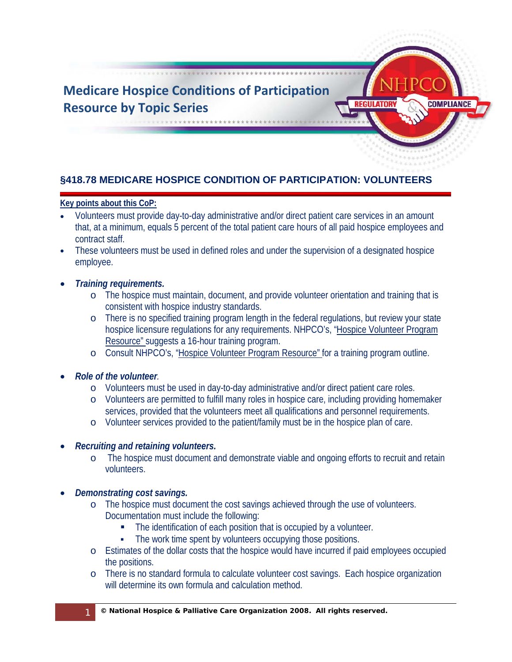

# **§418.78 MEDICARE HOSPICE CONDITION OF PARTICIPATION: VOLUNTEERS**

### **Key points about this CoP:**

- Volunteers must provide day-to-day administrative and/or direct patient care services in an amount that, at a minimum, equals 5 percent of the total patient care hours of all paid hospice employees and contract staff.
- These volunteers must be used in defined roles and under the supervision of a designated hospice employee.
- *Training requirements.*
	- o The hospice must maintain, document, and provide volunteer orientation and training that is consistent with hospice industry standards.
	- o There is no specified training program length in the federal regulations, but review your state hospice licensure regulations for any requirements. NHPCO's, ["Hospice Volunteer Program](http://iweb.nhpco.org/iweb/Purchase/ProductDetail.aspx?Product_code=820115)  [Resource" s](http://iweb.nhpco.org/iweb/Purchase/ProductDetail.aspx?Product_code=820115)uggests a 16-hour training program.
	- o Consult NHPCO's, ["Hospice Volunteer Program Resource" f](http://iweb.nhpco.org/iweb/Purchase/ProductDetail.aspx?Product_code=820115)or a training program outline.
- *Role of the volunteer.* 
	- o Volunteers must be used in day-to-day administrative and/or direct patient care roles.
	- o Volunteers are permitted to fulfill many roles in hospice care, including providing homemaker services, provided that the volunteers meet all qualifications and personnel requirements.
	- o Volunteer services provided to the patient/family must be in the hospice plan of care.

#### • *Recruiting and retaining volunteers.*

- o The hospice must document and demonstrate viable and ongoing efforts to recruit and retain volunteers.
- *Demonstrating cost savings.* 
	- o The hospice must document the cost savings achieved through the use of volunteers. Documentation must include the following:
		- The identification of each position that is occupied by a volunteer.
		- The work time spent by volunteers occupying those positions.
	- o Estimates of the dollar costs that the hospice would have incurred if paid employees occupied the positions.
	- o There is no standard formula to calculate volunteer cost savings. Each hospice organization will determine its own formula and calculation method.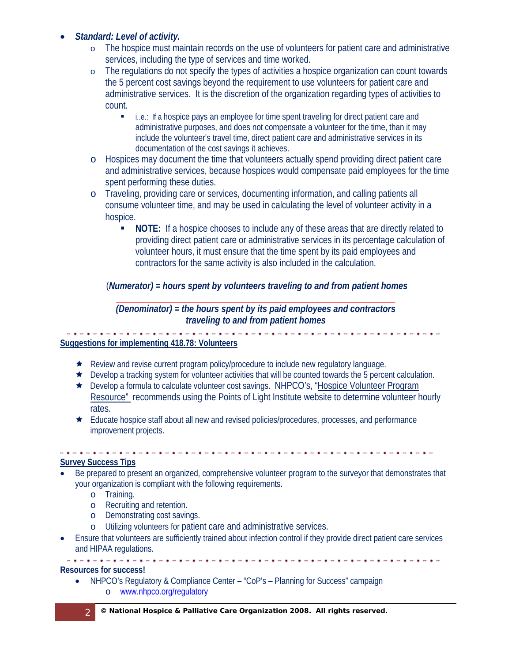## • *Standard: Level of activity.*

- o The hospice must maintain records on the use of volunteers for patient care and administrative services, including the type of services and time worked.
- o The regulations do not specify the types of activities a hospice organization can count towards the 5 percent cost savings beyond the requirement to use volunteers for patient care and administrative services. It is the discretion of the organization regarding types of activities to count.
	- i..e.: If a hospice pays an employee for time spent traveling for direct patient care and administrative purposes, and does not compensate a volunteer for the time, than it may include the volunteer's travel time, direct patient care and administrative services in its documentation of the cost savings it achieves.
- o Hospices may document the time that volunteers actually spend providing direct patient care and administrative services, because hospices would compensate paid employees for the time spent performing these duties.
- o Traveling, providing care or services, documenting information, and calling patients all consume volunteer time, and may be used in calculating the level of volunteer activity in a hospice.
	- **NOTE:** If a hospice chooses to include any of these areas that are directly related to providing direct patient care or administrative services in its percentage calculation of volunteer hours, it must ensure that the time spent by its paid employees and contractors for the same activity is also included in the calculation.

## (*Numerator) = hours spent by volunteers traveling to and from patient homes*

#### \_\_\_\_\_\_\_\_\_\_\_\_\_\_\_\_\_\_\_\_\_\_\_\_\_\_\_\_\_\_\_\_\_\_\_\_\_\_\_\_\_\_\_\_\_\_\_\_\_\_\_\_\_\_\_\_\_\_\_\_\_ *(Denominator) = the hours spent by its paid employees and contractors traveling to and from patient homes*

#### **Suggestions for implementing 418.78: Volunteers**

- $\star$  Review and revise current program policy/procedure to include new regulatory language.
- $\star$  Develop a tracking system for volunteer activities that will be counted towards the 5 percent calculation.
- Develop a formula to calculate volunteer cost savings. NHPCO's, ["Hospice Volunteer Program](http://iweb.nhpco.org/iweb/Purchase/ProductDetail.aspx?Product_code=820115)  [Resource"](http://iweb.nhpco.org/iweb/Purchase/ProductDetail.aspx?Product_code=820115) recommends using the Points of Light Institute website to determine volunteer hourly rates.
- Educate hospice staff about all new and revised policies/procedures, processes, and performance improvement projects.

#### **Survey Success Tips**

- Be prepared to present an organized, comprehensive volunteer program to the surveyor that demonstrates that your organization is compliant with the following requirements.
	- o Training.
	- o Recruiting and retention.
	- o Demonstrating cost savings.
	- o Utilizing volunteers for patient care and administrative services.
- Ensure that volunteers are sufficiently trained about infection control if they provide direct patient care services and HIPAA regulations.

#### . **. . . . . . . .** . **.** . **Resources for success!**

• NHPCO's Regulatory & Compliance Center – "CoP's – Planning for Success" campaign o [www.nhpco.org/regulatory](http://www.nhpco.org/regulatory)